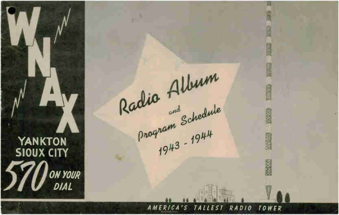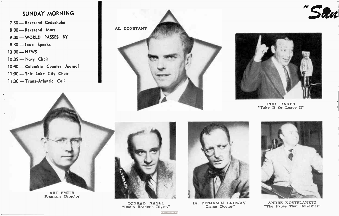# SUNDAY MORNING

7:30 — Reverend Cedarholm 8:00 - Reverend Mars 9:00 — WORLD PASSES BY 9:30 — Iowa Speaks 10:00 — NEWS 10:05 — Navy Choir 10:30 — Columbia Country Journal 11:00 — Salt Lake City Choir 11:30 — Trans- Atlantic Coll





"San

PHIL BAKER "Take It Or Leave It"



CONRAD NAGEL "Radio Reader's Digest"



Dr. BENJAMIN ORDWAY "Crime Doctor"



ANDRE KOSTELANETZ "The Pause That Refreshes"

ri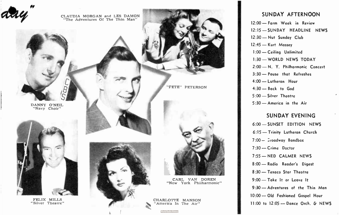

# SUNDAY AFTERNOON

12:00 — Farm Week in Review 12:15 — SUNDAY HEADLINE NEWS 12:30 — Nut Sunday Club 12:45 — Kurt Massey 1:00 — Ceiling Unlimited 1:30 — WORLD NEWS TODAY 2:00 - N. Y. Philharmonic Concert 3:30 — Pause that Refreshes 4:00 — Lutheran Hour 4:30 — Back to God 5:00 — Silver Theatre 5:30 — America in the Air

### SUNDAY EVENING

6:00 — SUNSET EDITION NEWS 6:15 — Trinity Lutheran Church  $7:00 - 2$ roadway Bandbox 7:30 — Crime Doctor 7:55 — NED CALMER NEWS 8:00 — Rodio Reader's Digest 8:30 — Texaco Star Theatre 9:00 — Take It or Leave It 9:30 — Adventures of the Thin Man 10:00 — Old Fashioned Gospel Hour 11:00 to 12:05 - Dance Orch. & NEWS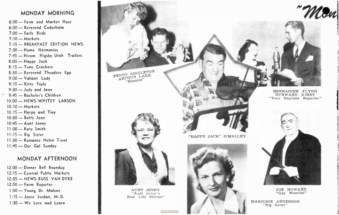# MONDAY MORNING

6:00 — Farm and Market Hour 6:30 — Reverend Cedarholm 7:00 — Early Birds 7:10 — Markets 7:15 — BREAKFAST EDITION NEWS 7:30 — Home Harmonies 7:45 — Hiram Higsby-Utah Trailers 8:00 — Happy Jack 8:15 — Tune Crackers 8:30 — Reverend Theodore Epp 9:00 — Valiant Lady 9:15 — Kitty Foyle 9:30 — Judy and Jane 9:45 — Bachelor's Children 10:00 — NEWS- WHITEY LARSON 10:10 — Markets  $10:15$  — Harpo and Tiny 10:30 - Betty Jean 10:45 — Aunt Jenny 11:00 - Kate Smith 11:15 — Big Sister 11:30 — Romance Helen Trent 11:45 — Our Gal Sunday

# MONDAY AFTERNOON

12:00 — Dinner Bell Roundup 12:15 — Central Public Markets 12:35 — NEWS-RUSS VAN DYKE 12:50 — Farm Reporter 1:00 — Young Dr. Malone 1:15 — Joyce Jordan, M. D. 1:30 — We Love and Learn

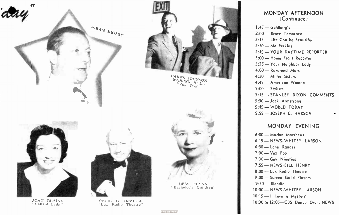

# MONDAY AFTERNOON (Continued)

1:45 — Goldberg's 2:00 — Brave Tomorrow 2:15 — Life Con be Beautiful 2:30 — Ma Perkins 2:45 — YOUR DAYTIME REPORTER 3:00 — Home Front Reporter 3:25 — Your Neighbor Lady 4:00 — Reverend Mors 4:30 — Miller Sisters 4:45 — American Women 5:00 — Stylists 5:15 — STANLEY DIXON COMMENTS 5:30 — Jack Armstrong 5:45 — WORLD TODAY 5:55 — JOSEPH C. HARSCH

# MONDAY EVENING

6:00 — Marion Matthews 6.15 — NEWS- WHITEY LARSON 6:30 — Lone Ronger 7:00 — Vox Pop 7:30 — Goy Nineties 7:55 — NEWS- BILL HENRY 8:00 — Lux Radio Theatre 9:00 — Screen Guild Players 9:30 — Blondie 10:00 — NEWS- WHITEY LARSON 10:15 - 1 Love a Mystery 10:30 to 12:05—CBS Dance Orch.-NEWS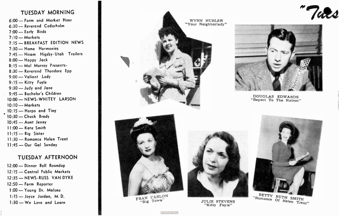# TUESDAY MORNING

6:00 — Farm and Market Hour 6:30 — Reverend Cedarholm 7:00 — Early Birds 7:10 — Markets 7:15 — BREAKFAST EDITION NEWS 7:30 — Home Harmonies 7:45 — Hiram Higsby - Utah Trailers 8:00 — Happy Jock 8:15 — Mal Murray Presents-8:30 — Reverend Theodore Epp 9:00 — Valiant Lady 9:15 — Kitty Foyle 9:30 — Judy and Jane 9:45 — Bachelor's Children 10:00 — NEWS- WHITEY LARSON 10:10 — Markets  $10:15$  — Harpo and Tiny 10:30 — Chuck Brady 10:45 — Aunt Jenny 11:00 — Kate Smith 11:15 — Big Sister 11:30 — Romance Helen Trent 11:45 — Our Gol Sunday

#### TUESDAY AFTERNOON

12:00 — Dinner Bell Roundup 12:15 — Central Public Markets 12:35 — NEWS-RUSS VAN DYKE 12:50 — Form Reporter 1:00 — Young Dr. Malone 1:15 — Joyce Jordan, M. D. 1:30 — We Love and Learn



 $\text{FRAN}$  CARL $^{100}$ 





DOUGLAS EDWARDS "Report To The Nation"



JULIE STEVENS "Kitty Foyle"



 $RUTH$  SMITH Small  $Of$  Helen Trent!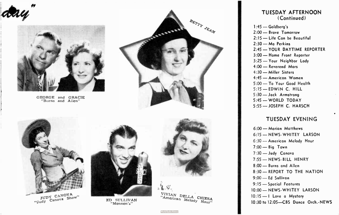



GEORGE and GRACIE "Burns and Allen"





CANO<sup>V</sup> <sup>A</sup> JUDY shoW Canova ..JudY ED SULLIVAN



"Mennen's"



"American Melody CHIESA

#### TUESDAY AFTERNOON (Continued)

1:45 — Goldberg's 2:00 — Brave Tomorrow 2:15 — Life Can be Beautiful 2:30 — Mo Perkins 2:45 — YOUR DAYTIME REPORTER 3:00 — Home Front Reporter 3:25 — Your Neighbor Lady 4:00 — Reverend Mars 4:30 — Miller Sisters 4:45 — American Women 5:00 — To Your Good Health 5:15 — EDWIN C. HILL 5:30 — Jock Armstrong 5:45 — WORLD TODAY 5:55 — JOSEPH C. HARSCH

## TUESDAY EVENING

6:00 — Marian Matthews 6:15 — NEWS- WHITEY LARSON 6:30 — American Melody Hour 7:00 — Big Town 7:30 — Judy Canova 7:55 — NEWS- BILL HENRY 8:00 — Burns and Allen 8:30 — REPORT TO THE NATION 9:00 — Ed Sullivan 9:15 — Special Features 10:00 — NEWS- WHITEY LARSON 10:15 -- I Love a Mystery 10:30 to 12:05—CBS Dance Orch.-NEWS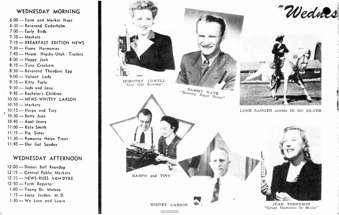#### WEDNESDAY MORNING

6:00 — Form and Market Hour 6:30 — Reverend Cedarholm 7:00 — Early Birds 7:10 — Markets 7:15 — BREAKFAST EDITION NEWS 7:30 — Home Harmonies 7:45 — Hiram Higsby-Utah Trailers 8:00 — Happy Jack 8:15 — Tune Crackers 8:30 — Reverend Theodore Epp 9:00 — Valiant Lady 9:15 — Kitty Foyle 9:30 — Judy and Jane 9:45 — Bachelor's Children 10:00 — NEWS- WHITEY LARSON 10:10 — Markets 10:15 — Harpo and Tiny 10:30 — Betty Jean 10:45 — Aunt Jenny 11:00 — Kate Smith 11:15 - Big Sister 11:30 — Romance Helen Trent 11:45 — Our Gol Sunday

# WEDNESDAY AFTERNOON

12:00 — Dinner Bell Roundup 12:15 - Central Public Morkets 12:35 — NEWS-RUSS VAN DYKE 12:50 — Farm Reporter 1:00 — Young Dr. Malone 1:15 — Joyce Jordan, M. D. 1:30 — We Love and Learn

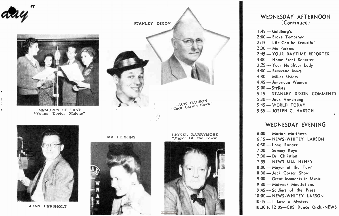

¥

٠



MEMBERS OF CAST "Young Doctor Malone"





JEAN HERSHOLT

MA PERKINS



LIONEL BARRYMORE "Mayor Of The Town"



#### WEDNESDAY AFTERNOON (Continued)

1:45 — Goldberg's 2:00 — Brave Tomorrow 2:15 — Life Can be Beautiful 2:30 — Ma Perkins 2:45 — YOUR DAYTIME REPORTER 3:00 — Home Front Reporter 3:25 — Your Neighbor Lady 4:00 — Reverend Mars 4:30 — Miller Sisters 4:45 — American Women 5:00 — Stylists 5:15 — STANLEY DIXON COMMENTS 5:30 — Jack Armstrong 5:45 — WORLD TODAY 5:55 — JOSEPH C. HARSCH

### WEDNESDAY EVENING

6:00 — Marian Matthews 6:15 — NEWS- WHITEY LARSON 6:30 — Lone Ranger 7:00 — Sammy Kaye 7:30 — Dr. Christian 7:55 — NEWS- BILL HENRY 8:00 — Mayor of the Town 8:30 — Jack Carson Show 9:00 — Great Moments in Music 9:30 — Midweek Meditations 9:45 — Soldiers of the Press 10:00 — NEWS - WHITEY LARSON 10:15 — I Love a Mystery 10:30 to 12:05—CBS Dance Orch.-NEWS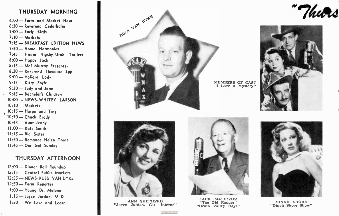## THURSDAY MORNING

6:00 — Farm and Market Hour 6:30 — Reverend Cedorholm 7:00 — Early Birds 7:10 — Markets 7:15 — BREAKFAST EDITION NEWS 7:30 — Home Harmonies 7:45 — Hiram Higsby-Utah Trailers 8:00 — Happy Jack 8:15 — Mol Murray Presents-8:30 — Reverend Theodore Epp 9:00 — Valiant Lady 9:15 — Kitty Foyle 9:30 — Judy and Jane • 9:45 — Bachelor's Children 10:00 — NEWS- WHITEY LARSON 10:10 — Markets 10:15 — Harpo and Tiny 10:30 — Chuck Brady 10:45 — Aunt Jenny I 1:00 — Kate Smith 11:15 — Big Sister 11:30 — Romance Helen Trent 11:45 — Our Gol Sunday

#### THURSDAY AFTERNOON

12:00 — Dinner Bell Roundup 12:15 — Central Public Markets 12:35 — NEWS-RUSS VAN DYKE 12:50 — Farm Reporter I:00 — Young Dr. Malone 1:15 — Joyce Jordan, M. D.  $1:30$  — We Love and Learn  $\blacksquare$  ANN SHEPHERD



MEMBERS OF CAST "I Love A Mystery"



DINAH SHORE "Dinah Shore Show"





**World Radio History** 

"Joyce Jordan, Girl Interne"



JACK MacBRYDE "The Old Ranger" "Death Valley Days"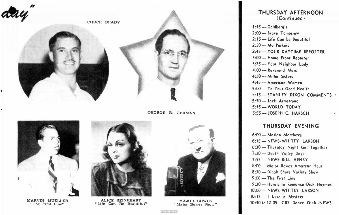



MARVIN MUELLER "The First Line"



"Life Can Be Beautiful"



MAJOR BOWES "Major Bowes Show"

THURSDAY AFTERNOON (Continued)

1:45 — Goldberg's 2:00 — Brave Tomorrow 2:15 — Life Con be Beautiful 2:30 — Ma Perkins 2:45 — YOUR DAYTIME REPORTER 3:00 — Home Front Reporter 3:25 — Your Neighbor Lady 4:00 — Reverend Mars 4:30 — Miller Sisters 4:45 — American Women 5:00 — To Your Good Health 5:15 — STANLEY DIXON COMMENTS 5:30 — Jock Armstrong 5:45 — WORLD TODAY 5:55 — JOSEPH C. HARSCH

# THURSDAY EVENING

6:00 — Marion Matthews 6:15 — NEWS- WHITEY LARSON 6:30 — Thursday Night Get- Together 7:30 — Death Valley Days 7:55 — NEWS- BILL HENRY 8:00 — Major Bowes Amateur Hour 8:30 — Dinah Shore Variety Show 9:00 — The First Line 9:30 — Here's to Romance- Dick Haymes 10:00 — NEWS- WHITEY LARSON 10:15 -- I Love a Mystery 10:30 to 12:05-CBS Dance O:ch.-NEWS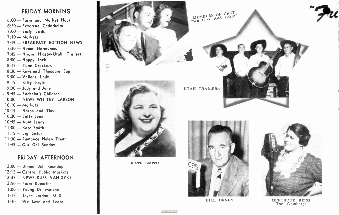#### FRIDAY MORNING

6:00 — Form and Market Hour 6:30 — Reverend Cedarholm 7:00 — Early Birds 7:10 — Markets 7:15 — BREAKFAST EDITION NEWS 7:30 — Heme Harmonies 7:45 — Hiram Higsby-Utoh Trailers 8:00 — Happy Jack 8:15 — Tune Crackers 8:30 — Reverend Theodore Epp 9:00 — Valiant Lady 9:15 — Kitty Foyle 9:30 — Judy and Jane 9:45 — Bachelor's Children 10:00 — NEWS- WHITEY LARSON 10:10 — Markets 10:15 — Harpo and Tiny  $10:30$  - Betty Jean 10:45 — Aunt Jenny 11:00 — Kate Smith 11:15 — Big Sister 11:30 — Romonce Helen Trent 11:45 — Our Gal Sunday

## FRIDAY AFTERNOON

12:00 — Dinner Bell Roundup 12:15 — Central Public Markets 12:35 — NEWS-RUSS VAN DYKE 12:50 — Farm Reporter 1:00 - Young Dr. Malane 1:15— Joyce Jordan, M. D. 1:30 — We Love and Learn



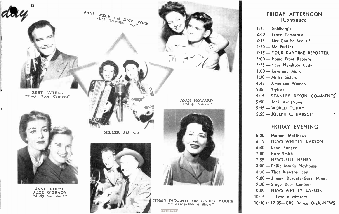

#### FRIDAY AFTERNOON (Continued)

1:45 — Goldberg's 2:00 — Brave Tomorrow 2:15 — Life Can be Beautiful 2:30 — Ma Perkins 2:45 — YOUR DAYTIME REPORTER 3:00 — Home Front Reporter 3:25 — Your Neighbor Lady 4:00 — Reverend Mars 4:30 — Miller Sisters 4:45 — American Women 5:00 — Stylists 5:15 — STANLEY DIXON COMMENTS 5:30 — Jack Armstrong 5:45 — WORLD TODAY 5:55 — JOSEPH C. HARSCH

# FRIDAY EVENING

6:00 — Marian Matthews 6:15 — NEWS- WHITEY LARSON 6:30 — Lone Ranger 7:00 — Kate Smith 7:55 — NEWS- BILL HENRY 8:00 — Philip Morris Playhouse 8:30 — That Brewster Boy 9:00 — Jimmy Durante -Gary Moore 9:30 — Stage Door Canteen 10:00 — NEWS- WHITEY LARSON 10:15 — 1 Love a Mystery 10:30 to 12:05— CBS Dance Orch - NEWS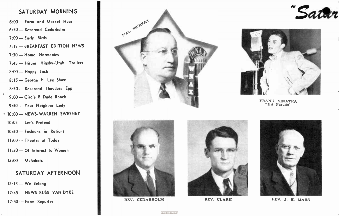# SATURDAY MORNING

6:00 — Farm and Market Hour 6:30 — Reverend Cedarholm 7:00 — Early Birds 7:15 — BREAKFAST EDITION NEWS 7:30 — Home Harmonies 7:45 - Hiram Higsby-Utah Trailers 8:00 — Happy Jack 8:15 — George H. Lee Show 8:30 — Reverend Theodore Epp 9:00 — Circle B Dude Ranch 9:30 — Your Neighbor Lady • 10:00 — NEWS- WARREN SWEENEY 10:05 — Let's Pretend 10:30 — Fashions in Rations 11:00 — Theatre of Today 11:30 — Of Interest to Women 12:00 — Melodiers SATURDAY AFTERNOON 12 : 15 — We Belong

 $\bullet$ 

12:35 — NEWS-RUSS VAN DYKE

12:50 -- Farm Reporter **REV.** CEDARHOLM REV. CLARK







"Satur



FRANK SINATRA "Hit Parade"



REV. J. H. MARS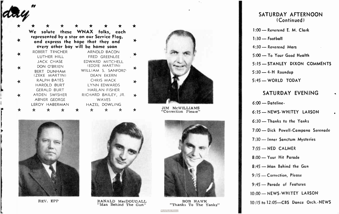|   | * | ★.<br>We solute these WNAX falks, each                                                                                | 大 | ★ ★ | - ★                                                         | ★ |
|---|---|-----------------------------------------------------------------------------------------------------------------------|---|-----|-------------------------------------------------------------|---|
|   |   | represented by a star an our Service Flag,<br>and express the hape that they and<br>every ather bay will be hame saan |   |     |                                                             |   |
|   |   | ROBERT TINCHER<br>LUTHER HILL                                                                                         |   |     | ARNOLD BACON<br>FRED GREENLEE                               | ≯ |
|   |   | JACK CHASE<br>DON O'BRIEN<br><b>BERT DUNHAM</b>                                                                       |   |     | EDWARD MITCHELL<br>(EDDIE MARTIN)<br>WILLIAM S. SANFORD     | ∗ |
| × |   | (ZEKE MARTIN)<br><b>RALPH BATES</b><br><b>HAROLD BURT</b>                                                             |   |     | <b>DEAN EKERN</b><br>CHRIS MACK<br><b>LYNN EDWARDS</b>      | ≯ |
|   |   | <b>GERALD BURT</b><br>ARDEN SWISHER<br><b>ABNER GEORGE</b>                                                            |   |     | <b>HARLAN FISHER</b><br>RICHARD BAILEY, JR.<br><b>WAVES</b> | × |
|   |   | LEROY HABERMAN                                                                                                        |   |     | HAZEL DOWLING<br>÷                                          |   |



JIM McWILLIAMS "Correction Please"



 $\cdots$ 

day

REV. EPP



RANALD MacDOUGALL "Man Behind The Gun"



BOB HAWK "Thanks To The Yanks"

#### SATURDAY AFTERNOON (Continued)

1:00— Reverend E. M. Clark

1:30 — Football

4:30 — Reverend Mors

5:00 — To Your Good Health

5:15 — STANLEY DIXON COMMENTS

5:30 — 4-H Roundup

5:45— WORLD TODAY

#### SATURDAY EVENING

6:00 — Dateline-

6:15 — NEWS- WHITEY LARSON

6:30 — Thonks to the Yanks

7:00 — Dick Powell -Campana Serenade

7:30 — Inner Sanctum Mysteries

7:55 — NED CALMER

8:00 — Your Hit Parade

8:45 — Mon Behind the Gun

9:15 — Correction, Please

9:45— Parade of Features

10:00 — NEWS- WHITEY LARSON

10:15 to 12:05—CBS Dance Orch.-NEWS